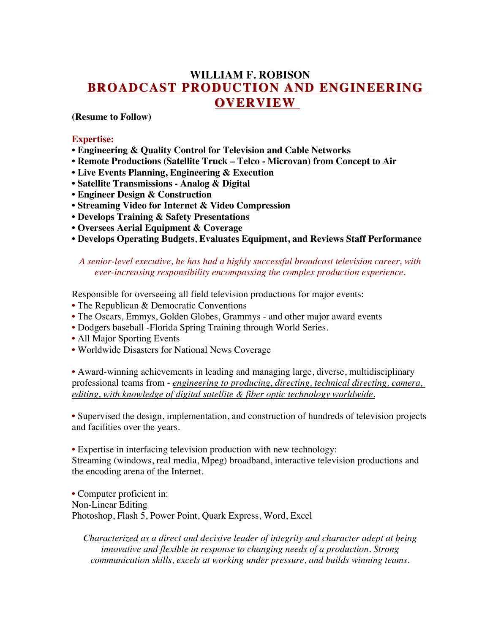# **WILLIAM F. ROBISON BROADCAST PRODUCTION AND ENGINEERING BROADCAST PRODUCTION AND ENGINEERING OVERVIEW OVERVIEW**

**(Resume to Follow)**

#### **Expertise:**

- **Engineering & Quality Control for Television and Cable Networks**
- **Remote Productions (Satellite Truck – Telco - Microvan) from Concept to Air**
- **Live Events Planning, Engineering & Execution**
- **Satellite Transmissions - Analog & Digital**
- **Engineer Design & Construction**
- **Streaming Video for Internet & Video Compression**
- **Develops Training & Safety Presentations**
- **Oversees Aerial Equipment & Coverage**
- **Develops Operating Budgets**, **Evaluates Equipment, and Reviews Staff Performance**

#### *A senior-level executive, he has had a highly successful broadcast television career, with ever-increasing responsibility encompassing the complex production experience.*

Responsible for overseeing all field television productions for major events:

- The Republican & Democratic Conventions
- The Oscars, Emmys, Golden Globes, Grammys and other major award events
- Dodgers baseball -Florida Spring Training through World Series.
- All Major Sporting Events
- Worldwide Disasters for National News Coverage

• Award-winning achievements in leading and managing large, diverse, multidisciplinary professional teams from - *engineering to producing, directing, technical directing, camera, editing, with knowledge of digital satellite & fiber optic technology worldwide.*

• Supervised the design, implementation, and construction of hundreds of television projects and facilities over the years.

• Expertise in interfacing television production with new technology:

Streaming (windows, real media, Mpeg) broadband, interactive television productions and the encoding arena of the Internet.

• Computer proficient in: Non-Linear Editing Photoshop, Flash 5, Power Point, Quark Express, Word, Excel

*Characterized as a direct and decisive leader of integrity and character adept at being innovative and flexible in response to changing needs of a production. Strong communication skills, excels at working under pressure, and builds winning teams.*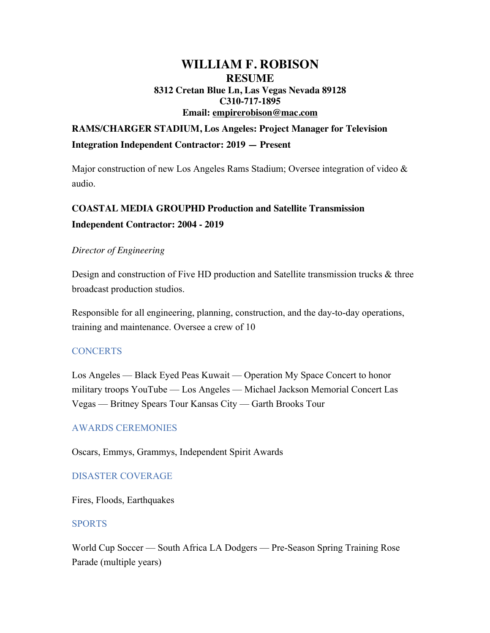# **WILLIAM F. ROBISON RESUME 8312 Cretan Blue Ln, Las Vegas Nevada 89128 C310-717-1895 Email: empirerobison@mac.com**

# **RAMS/CHARGER STADIUM, Los Angeles: Project Manager for Television Integration Independent Contractor: 2019 — Present**

Major construction of new Los Angeles Rams Stadium; Oversee integration of video  $\&$ audio.

# **COASTAL MEDIA GROUPHD Production and Satellite Transmission Independent Contractor: 2004 - 2019**

## *Director of Engineering*

Design and construction of Five HD production and Satellite transmission trucks & three broadcast production studios.

Responsible for all engineering, planning, construction, and the day-to-day operations, training and maintenance. Oversee a crew of 10

### **CONCERTS**

Los Angeles — Black Eyed Peas Kuwait — Operation My Space Concert to honor military troops YouTube — Los Angeles — Michael Jackson Memorial Concert Las Vegas — Britney Spears Tour Kansas City — Garth Brooks Tour

### AWARDS CEREMONIES

Oscars, Emmys, Grammys, Independent Spirit Awards

# DISASTER COVERAGE

Fires, Floods, Earthquakes

### SPORTS

World Cup Soccer — South Africa LA Dodgers — Pre-Season Spring Training Rose Parade (multiple years)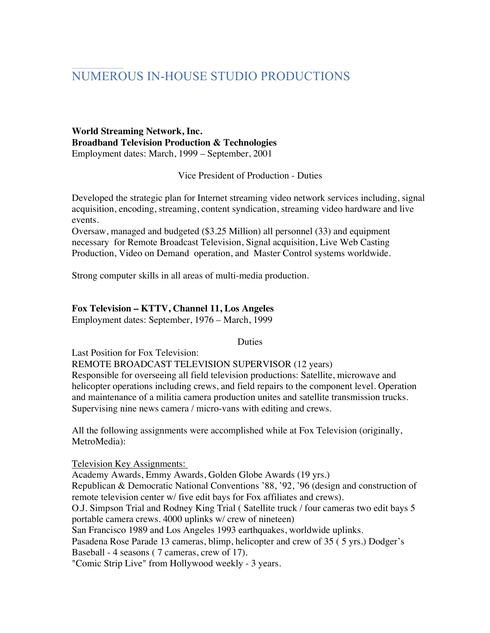# NUMEROUS IN-HOUSE STUDIO PRODUCTIONS

#### **World Streaming Network, Inc. Broadband Television Production & Technologies**  Employment dates: March, 1999 – September, 2001

Vice President of Production - Duties

Developed the strategic plan for Internet streaming video network services including, signal acquisition, encoding, streaming, content syndication, streaming video hardware and live events.

Oversaw, managed and budgeted (\$3.25 Million) all personnel (33) and equipment necessary for Remote Broadcast Television, Signal acquisition, Live Web Casting Production, Video on Demand operation, and Master Control systems worldwide.

Strong computer skills in all areas of multi-media production.

#### **Fox Television – KTTV, Channel 11, Los Angeles**

Employment dates: September, 1976 – March, 1999

Duties

Last Position for Fox Television:

REMOTE BROADCAST TELEVISION SUPERVISOR (12 years)

Responsible for overseeing all field television productions: Satellite, microwave and helicopter operations including crews, and field repairs to the component level. Operation and maintenance of a militia camera production unites and satellite transmission trucks. Supervising nine news camera / micro-vans with editing and crews.

All the following assignments were accomplished while at Fox Television (originally, MetroMedia):

Television Key Assignments:

Academy Awards, Emmy Awards, Golden Globe Awards (19 yrs.) Republican & Democratic National Conventions '88, '92, '96 (design and construction of remote television center w/ five edit bays for Fox affiliates and crews). O.J. Simpson Trial and Rodney King Trial ( Satellite truck / four cameras two edit bays 5 portable camera crews. 4000 uplinks w/ crew of nineteen) San Francisco 1989 and Los Angeles 1993 earthquakes, worldwide uplinks. Pasadena Rose Parade 13 cameras, blimp, helicopter and crew of 35 ( 5 yrs.) Dodger's Baseball - 4 seasons ( 7 cameras, crew of 17). "Comic Strip Live" from Hollywood weekly - 3 years.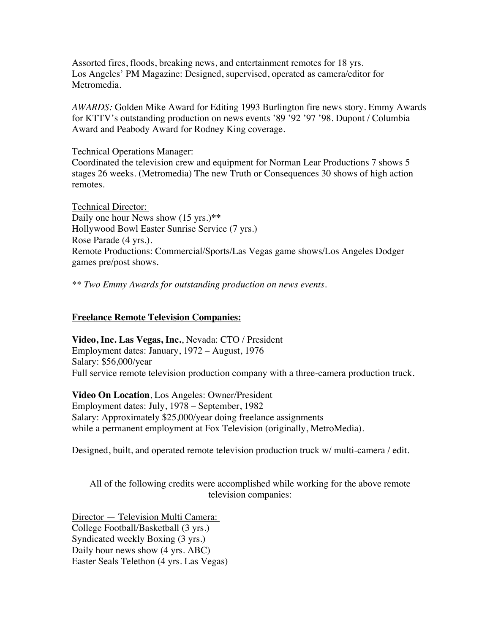Assorted fires, floods, breaking news, and entertainment remotes for 18 yrs. Los Angeles' PM Magazine: Designed, supervised, operated as camera/editor for Metromedia.

*AWARDS:* Golden Mike Award for Editing 1993 Burlington fire news story. Emmy Awards for KTTV's outstanding production on news events '89 '92 '97 '98. Dupont / Columbia Award and Peabody Award for Rodney King coverage.

Technical Operations Manager:

Coordinated the television crew and equipment for Norman Lear Productions 7 shows 5 stages 26 weeks. (Metromedia) The new Truth or Consequences 30 shows of high action remotes.

Technical Director: Daily one hour News show (15 yrs.)**\*\*** Hollywood Bowl Easter Sunrise Service (7 yrs.) Rose Parade (4 yrs.). Remote Productions: Commercial/Sports/Las Vegas game shows/Los Angeles Dodger games pre/post shows.

*\*\* Two Emmy Awards for outstanding production on news events.*

#### **Freelance Remote Television Companies:**

**Video, Inc. Las Vegas, Inc.**, Nevada: CTO / President Employment dates: January, 1972 – August, 1976 Salary: \$56,000/year Full service remote television production company with a three-camera production truck.

**Video On Location**, Los Angeles: Owner/President Employment dates: July, 1978 – September, 1982 Salary: Approximately \$25,000/year doing freelance assignments while a permanent employment at Fox Television (originally, MetroMedia).

Designed, built, and operated remote television production truck w/ multi-camera / edit.

All of the following credits were accomplished while working for the above remote television companies:

Director — Television Multi Camera: College Football/Basketball (3 yrs.) Syndicated weekly Boxing (3 yrs.) Daily hour news show (4 yrs. ABC) Easter Seals Telethon (4 yrs. Las Vegas)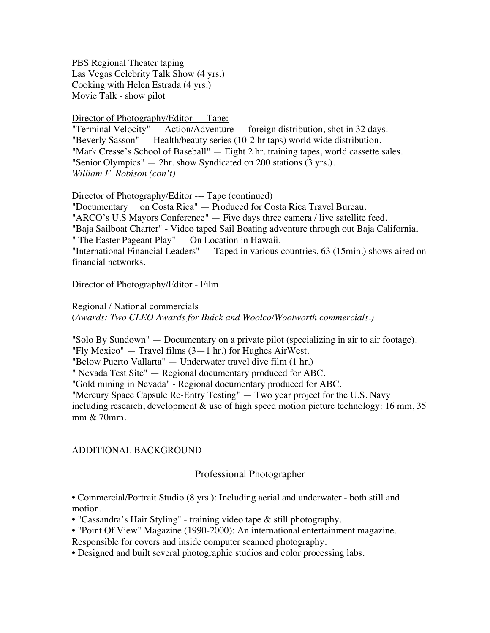PBS Regional Theater taping Las Vegas Celebrity Talk Show (4 yrs.) Cooking with Helen Estrada (4 yrs.) Movie Talk - show pilot

#### Director of Photography/Editor — Tape:

"Terminal Velocity" — Action/Adventure — foreign distribution, shot in 32 days. "Beverly Sasson" — Health/beauty series (10-2 hr taps) world wide distribution. "Mark Cresse's School of Baseball" — Eight 2 hr. training tapes, world cassette sales. "Senior Olympics" — 2hr. show Syndicated on 200 stations (3 yrs.). *William F. Robison (con't)*

Director of Photography/Editor --- Tape (continued)

"Documentary on Costa Rica" — Produced for Costa Rica Travel Bureau.

"ARCO's U.S Mayors Conference" — Five days three camera / live satellite feed.

"Baja Sailboat Charter" - Video taped Sail Boating adventure through out Baja California.

" The Easter Pageant Play" — On Location in Hawaii.

"International Financial Leaders" — Taped in various countries, 63 (15min.) shows aired on financial networks.

Director of Photography/Editor - Film.

Regional / National commercials (*Awards: Two CLEO Awards for Buick and Woolco/Woolworth commercials.)*

"Solo By Sundown" — Documentary on a private pilot (specializing in air to air footage). "Fly Mexico"  $-$  Travel films  $(3-1)$  hr.) for Hughes AirWest.

"Below Puerto Vallarta" — Underwater travel dive film (1 hr.)

" Nevada Test Site" — Regional documentary produced for ABC.

"Gold mining in Nevada" - Regional documentary produced for ABC.

"Mercury Space Capsule Re-Entry Testing" — Two year project for the U.S. Navy

including research, development  $\&$  use of high speed motion picture technology: 16 mm, 35 mm & 70mm.

### ADDITIONAL BACKGROUND

# Professional Photographer

• Commercial/Portrait Studio (8 yrs.): Including aerial and underwater - both still and motion.

• "Cassandra's Hair Styling" - training video tape & still photography.

• "Point Of View" Magazine (1990-2000): An international entertainment magazine.

Responsible for covers and inside computer scanned photography.

• Designed and built several photographic studios and color processing labs.